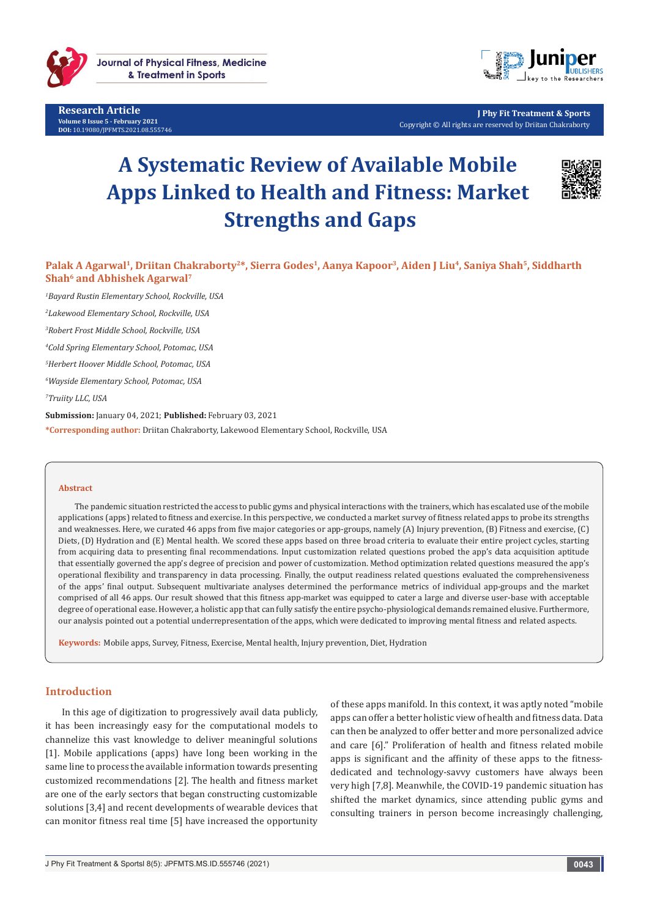

**Research Article Volume 8 Issue 5 - February 2021 DOI:** [10.19080/JPFMTS.2021.08.555746](http://dx.doi.org/10.19080/JPFMTS.2021.08.555746)



**J Phy Fit Treatment & Sports** Copyright © All rights are reserved by Driitan Chakraborty

# **A Systematic Review of Available Mobile Apps Linked to Health and Fitness: Market Strengths and Gaps**



Palak A Agarwal<sup>1</sup>, Driitan Chakraborty<sup>2\*</sup>, Sierra Godes<sup>1</sup>, Aanya Kapoor<sup>3</sup>, Aiden J Liu<sup>4</sup>, Saniya Shah<sup>5</sup>, Siddharth **Shah<sup>6</sup> and Abhishek Agarwal<sup>7</sup>** 

 *Bayard Rustin Elementary School, Rockville, USA Lakewood Elementary School, Rockville, USA Robert Frost Middle School, Rockville, USA Cold Spring Elementary School, Potomac, USA Herbert Hoover Middle School, Potomac, USA Wayside Elementary School, Potomac, USA Truiity LLC, USA*

**Submission:** January 04, 2021; **Published:** February 03, 2021 **\*Corresponding author:** Driitan Chakraborty, Lakewood Elementary School, Rockville, USA

#### **Abstract**

The pandemic situation restricted the access to public gyms and physical interactions with the trainers, which has escalated use of the mobile applications (apps) related to fitness and exercise. In this perspective, we conducted a market survey of fitness related apps to probe its strengths and weaknesses. Here, we curated 46 apps from five major categories or app-groups, namely (A) Injury prevention, (B) Fitness and exercise, (C) Diets, (D) Hydration and (E) Mental health. We scored these apps based on three broad criteria to evaluate their entire project cycles, starting from acquiring data to presenting final recommendations. Input customization related questions probed the app's data acquisition aptitude that essentially governed the app's degree of precision and power of customization. Method optimization related questions measured the app's operational flexibility and transparency in data processing. Finally, the output readiness related questions evaluated the comprehensiveness of the apps' final output. Subsequent multivariate analyses determined the performance metrics of individual app-groups and the market comprised of all 46 apps. Our result showed that this fitness app-market was equipped to cater a large and diverse user-base with acceptable degree of operational ease. However, a holistic app that can fully satisfy the entire psycho-physiological demands remained elusive. Furthermore, our analysis pointed out a potential underrepresentation of the apps, which were dedicated to improving mental fitness and related aspects.

**Keywords:** Mobile apps, Survey, Fitness, Exercise, Mental health, Injury prevention, Diet, Hydration

## **Introduction**

In this age of digitization to progressively avail data publicly, it has been increasingly easy for the computational models to channelize this vast knowledge to deliver meaningful solutions [1]. Mobile applications (apps) have long been working in the same line to process the available information towards presenting customized recommendations [2]. The health and fitness market are one of the early sectors that began constructing customizable solutions [3,4] and recent developments of wearable devices that can monitor fitness real time [5] have increased the opportunity

of these apps manifold. In this context, it was aptly noted "mobile apps can offer a better holistic view of health and fitness data. Data can then be analyzed to offer better and more personalized advice and care [6]." Proliferation of health and fitness related mobile apps is significant and the affinity of these apps to the fitnessdedicated and technology-savvy customers have always been very high [7,8]. Meanwhile, the COVID-19 pandemic situation has shifted the market dynamics, since attending public gyms and consulting trainers in person become increasingly challenging,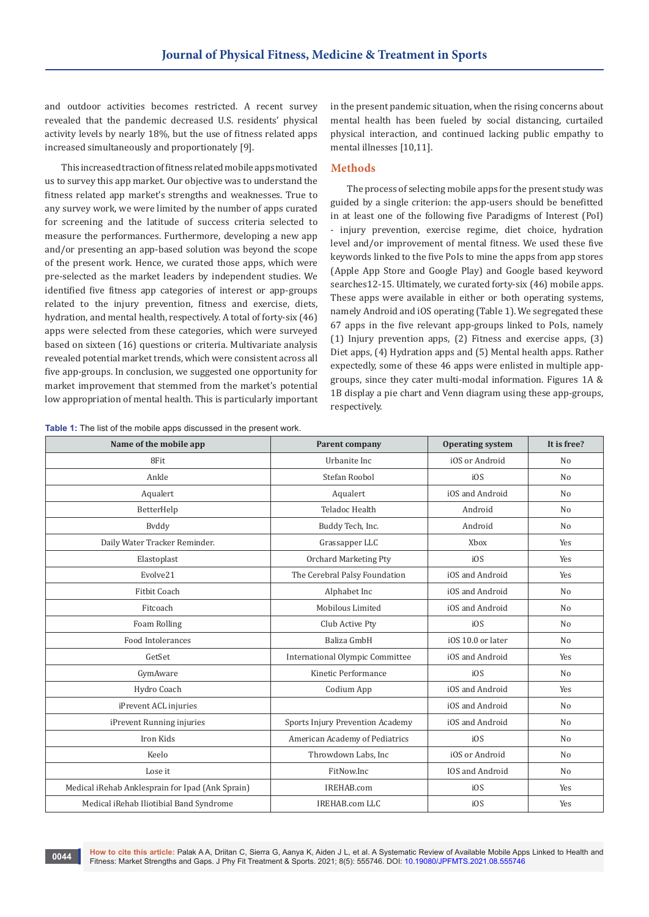and outdoor activities becomes restricted. A recent survey revealed that the pandemic decreased U.S. residents' physical activity levels by nearly 18%, but the use of fitness related apps increased simultaneously and proportionately [9].

This increased traction of fitness related mobile apps motivated us to survey this app market. Our objective was to understand the fitness related app market's strengths and weaknesses. True to any survey work, we were limited by the number of apps curated for screening and the latitude of success criteria selected to measure the performances. Furthermore, developing a new app and/or presenting an app-based solution was beyond the scope of the present work. Hence, we curated those apps, which were pre-selected as the market leaders by independent studies. We identified five fitness app categories of interest or app-groups related to the injury prevention, fitness and exercise, diets, hydration, and mental health, respectively. A total of forty-six (46) apps were selected from these categories, which were surveyed based on sixteen (16) questions or criteria. Multivariate analysis revealed potential market trends, which were consistent across all five app-groups. In conclusion, we suggested one opportunity for market improvement that stemmed from the market's potential low appropriation of mental health. This is particularly important

**Table 1:** The list of the mobile apps discussed in the present work.

in the present pandemic situation, when the rising concerns about mental health has been fueled by social distancing, curtailed physical interaction, and continued lacking public empathy to mental illnesses [10,11].

## **Methods**

The process of selecting mobile apps for the present study was guided by a single criterion: the app-users should be benefitted in at least one of the following five Paradigms of Interest (PoI) - injury prevention, exercise regime, diet choice, hydration level and/or improvement of mental fitness. We used these five keywords linked to the five PoIs to mine the apps from app stores (Apple App Store and Google Play) and Google based keyword searches12-15. Ultimately, we curated forty-six (46) mobile apps. These apps were available in either or both operating systems, namely Android and iOS operating (Table 1). We segregated these 67 apps in the five relevant app-groups linked to PoIs, namely (1) Injury prevention apps, (2) Fitness and exercise apps, (3) Diet apps, (4) Hydration apps and (5) Mental health apps. Rather expectedly, some of these 46 apps were enlisted in multiple appgroups, since they cater multi-modal information. Figures 1A & 1B display a pie chart and Venn diagram using these app-groups, respectively.

| Name of the mobile app                           | Parent company                         | <b>Operating system</b> | It is free?    |
|--------------------------------------------------|----------------------------------------|-------------------------|----------------|
| 8Fit                                             | Urbanite Inc                           | iOS or Android          | N <sub>o</sub> |
| Ankle                                            | Stefan Roobol                          | i <sub>0</sub> S        | No             |
| Aqualert                                         | Aqualert                               | iOS and Android         | N <sub>o</sub> |
| BetterHelp                                       | <b>Teladoc Health</b>                  | Android                 | N <sub>o</sub> |
| Byddy                                            | Buddy Tech, Inc.                       | Android                 | No             |
| Daily Water Tracker Reminder.                    | Grassapper LLC                         | Xbox                    | Yes            |
| Elastoplast                                      | Orchard Marketing Pty                  | iOS                     | Yes            |
| Evolve21                                         | The Cerebral Palsy Foundation          | iOS and Android         | Yes            |
| <b>Fitbit Coach</b>                              | Alphabet Inc                           | iOS and Android         | N <sub>o</sub> |
| Fitcoach                                         | Mobilous Limited                       | iOS and Android         | N <sub>o</sub> |
| Foam Rolling                                     | Club Active Pty                        | i <sub>OS</sub>         | N <sub>o</sub> |
| Food Intolerances                                | Baliza GmbH                            | iOS 10.0 or later       | No             |
| GetSet                                           | <b>International Olympic Committee</b> | iOS and Android         | Yes            |
| GymAware                                         | Kinetic Performance                    | iOS                     | N <sub>o</sub> |
| Hydro Coach                                      | Codium App                             | iOS and Android         | Yes            |
| iPrevent ACL injuries                            |                                        | iOS and Android         | N <sub>o</sub> |
| iPrevent Running injuries                        | Sports Injury Prevention Academy       | iOS and Android         | N <sub>o</sub> |
| Iron Kids                                        | American Academy of Pediatrics         | i <sub>OS</sub>         | N <sub>o</sub> |
| Keelo                                            | Throwdown Labs, Inc                    | iOS or Android          | N <sub>o</sub> |
| Lose it                                          | FitNow.Inc                             | <b>IOS</b> and Android  | N <sub>0</sub> |
| Medical iRehab Anklesprain for Ipad (Ank Sprain) | IREHAB.com                             | i0S                     | Yes            |
| Medical iRehab Iliotibial Band Syndrome          | <b>IREHAB.com LLC</b>                  | iOS                     | Yes            |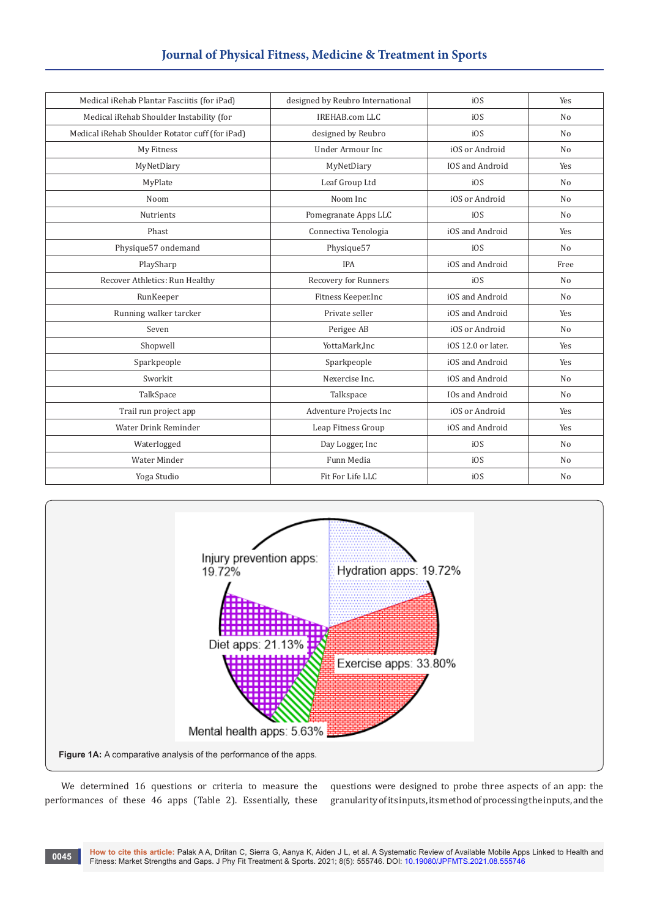# **Journal of Physical Fitness, Medicine & Treatment in Sports**

| Medical iRehab Plantar Fasciitis (for iPad)     | designed by Reubro International | i0S                    | Yes            |
|-------------------------------------------------|----------------------------------|------------------------|----------------|
| Medical iRehab Shoulder Instability (for        | <b>IREHAB.com LLC</b>            | i0S                    | N <sub>o</sub> |
| Medical iRehab Shoulder Rotator cuff (for iPad) | designed by Reubro               | iOS                    | N <sub>o</sub> |
| My Fitness                                      | <b>Under Armour Inc</b>          | iOS or Android         | N <sub>o</sub> |
| MyNetDiary                                      | MyNetDiary                       | <b>IOS</b> and Android | Yes            |
| MyPlate                                         | Leaf Group Ltd                   | i0S                    | N <sub>o</sub> |
| Noom                                            | Noom Inc                         | iOS or Android         | N <sub>o</sub> |
| Nutrients                                       | Pomegranate Apps LLC             | i0S                    | N <sub>o</sub> |
| Phast                                           | Connectiva Tenologia             | iOS and Android        | Yes            |
| Physique57 ondemand                             | Physique57                       | iOS                    | N <sub>o</sub> |
| PlaySharp                                       | <b>IPA</b>                       | iOS and Android        | Free           |
| Recover Athletics: Run Healthy                  | Recovery for Runners             | iOS                    | N <sub>o</sub> |
| RunKeeper                                       | Fitness Keeper.Inc               | iOS and Android        | N <sub>o</sub> |
| Running walker tarcker                          | Private seller                   | iOS and Android        | Yes            |
| Seven                                           | Perigee AB                       | iOS or Android         | N <sub>o</sub> |
| Shopwell                                        | YottaMark, Inc                   | iOS 12.0 or later.     | Yes            |
| Sparkpeople                                     | Sparkpeople                      | iOS and Android        | Yes            |
| Sworkit                                         | Nexercise Inc.                   | iOS and Android        | N <sub>o</sub> |
| TalkSpace                                       | Talkspace                        | <b>IOs and Android</b> | N <sub>o</sub> |
| Trail run project app                           | Adventure Projects Inc           | iOS or Android         | Yes            |
| Water Drink Reminder                            | Leap Fitness Group               | iOS and Android        | Yes            |
| Waterlogged                                     | Day Logger, Inc                  | i0S                    | N <sub>o</sub> |
| Water Minder                                    | Funn Media                       | i0S                    | No             |
| Yoga Studio                                     | Fit For Life LLC                 | iOS                    | No             |



We determined 16 questions or criteria to measure the performances of these 46 apps (Table 2). Essentially, these questions were designed to probe three aspects of an app: the granularity of its inputs, its method of processing the inputs, and the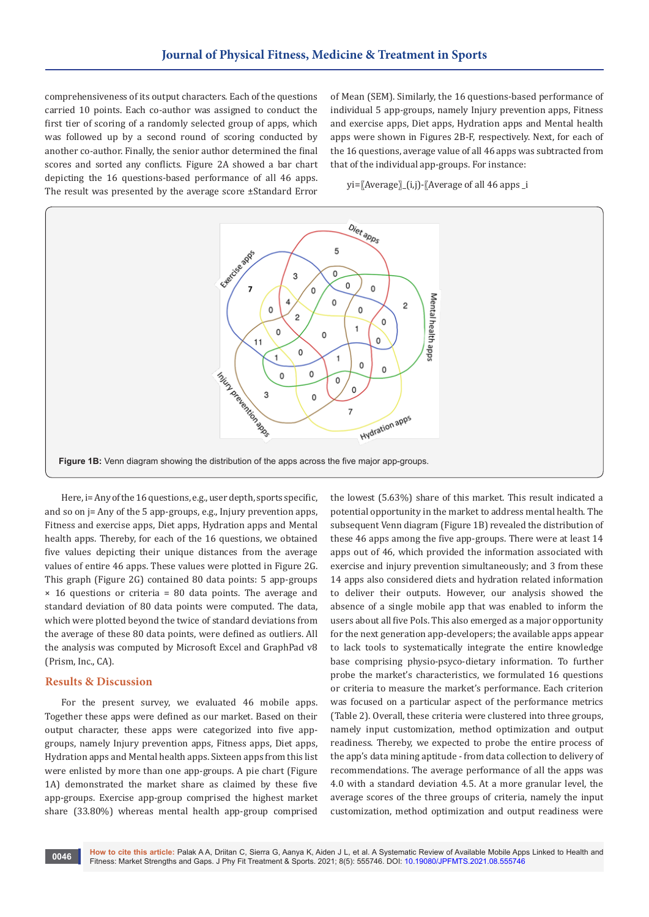comprehensiveness of its output characters. Each of the questions carried 10 points. Each co-author was assigned to conduct the first tier of scoring of a randomly selected group of apps, which was followed up by a second round of scoring conducted by another co-author. Finally, the senior author determined the final scores and sorted any conflicts. Figure 2A showed a bar chart depicting the 16 questions-based performance of all 46 apps. The result was presented by the average score ±Standard Error

of Mean (SEM). Similarly, the 16 questions-based performance of individual 5 app-groups, namely Injury prevention apps, Fitness and exercise apps, Diet apps, Hydration apps and Mental health apps were shown in Figures 2B-F, respectively. Next, for each of the 16 questions, average value of all 46 apps was subtracted from that of the individual app-groups. For instance:

yi=〖Average〗\_(i,j)-〖Average of all 46 apps \_i



Here, i= Any of the 16 questions, e.g., user depth, sports specific, and so on j= Any of the 5 app-groups, e.g., Injury prevention apps, Fitness and exercise apps, Diet apps, Hydration apps and Mental health apps. Thereby, for each of the 16 questions, we obtained five values depicting their unique distances from the average values of entire 46 apps. These values were plotted in Figure 2G. This graph (Figure 2G) contained 80 data points: 5 app-groups  $\times$  16 questions or criteria = 80 data points. The average and standard deviation of 80 data points were computed. The data, which were plotted beyond the twice of standard deviations from the average of these 80 data points, were defined as outliers. All the analysis was computed by Microsoft Excel and GraphPad v8 (Prism, Inc., CA).

### **Results & Discussion**

For the present survey, we evaluated 46 mobile apps. Together these apps were defined as our market. Based on their output character, these apps were categorized into five appgroups, namely Injury prevention apps, Fitness apps, Diet apps, Hydration apps and Mental health apps. Sixteen apps from this list were enlisted by more than one app-groups. A pie chart (Figure 1A) demonstrated the market share as claimed by these five app-groups. Exercise app-group comprised the highest market share (33.80%) whereas mental health app-group comprised

the lowest (5.63%) share of this market. This result indicated a potential opportunity in the market to address mental health. The subsequent Venn diagram (Figure 1B) revealed the distribution of these 46 apps among the five app-groups. There were at least 14 apps out of 46, which provided the information associated with exercise and injury prevention simultaneously; and 3 from these 14 apps also considered diets and hydration related information to deliver their outputs. However, our analysis showed the absence of a single mobile app that was enabled to inform the users about all five PoIs. This also emerged as a major opportunity for the next generation app-developers; the available apps appear to lack tools to systematically integrate the entire knowledge base comprising physio-psyco-dietary information. To further probe the market's characteristics, we formulated 16 questions or criteria to measure the market's performance. Each criterion was focused on a particular aspect of the performance metrics (Table 2). Overall, these criteria were clustered into three groups, namely input customization, method optimization and output readiness. Thereby, we expected to probe the entire process of the app's data mining aptitude - from data collection to delivery of recommendations. The average performance of all the apps was 4.0 with a standard deviation 4.5. At a more granular level, the average scores of the three groups of criteria, namely the input customization, method optimization and output readiness were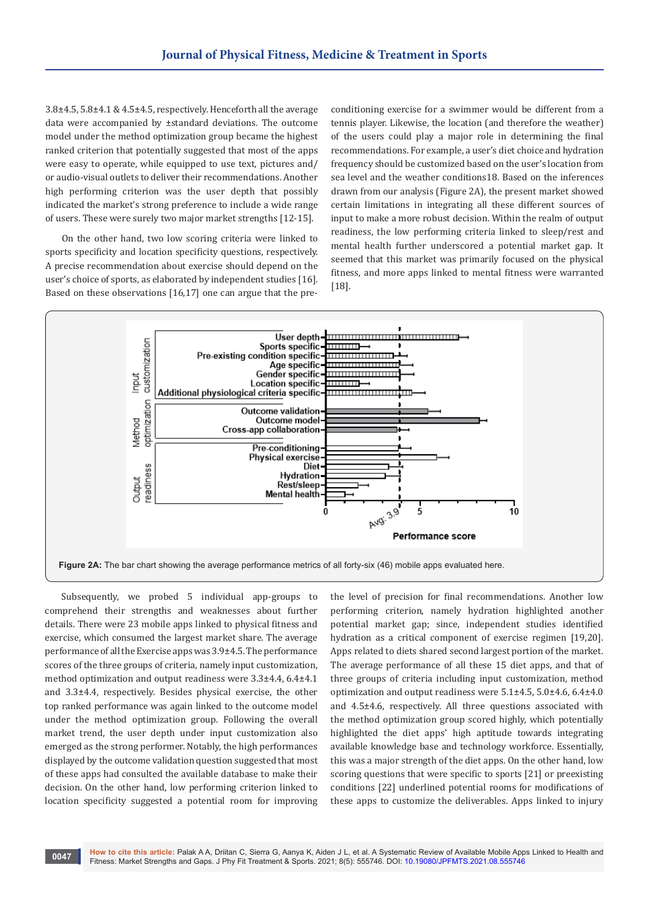3.8±4.5, 5.8±4.1 & 4.5±4.5, respectively. Henceforth all the average data were accompanied by ±standard deviations. The outcome model under the method optimization group became the highest ranked criterion that potentially suggested that most of the apps were easy to operate, while equipped to use text, pictures and/ or audio-visual outlets to deliver their recommendations. Another high performing criterion was the user depth that possibly indicated the market's strong preference to include a wide range of users. These were surely two major market strengths [12-15].

On the other hand, two low scoring criteria were linked to sports specificity and location specificity questions, respectively. A precise recommendation about exercise should depend on the user's choice of sports, as elaborated by independent studies [16]. Based on these observations [16,17] one can argue that the preconditioning exercise for a swimmer would be different from a tennis player. Likewise, the location (and therefore the weather) of the users could play a major role in determining the final recommendations. For example, a user's diet choice and hydration frequency should be customized based on the user's location from sea level and the weather conditions18. Based on the inferences drawn from our analysis (Figure 2A), the present market showed certain limitations in integrating all these different sources of input to make a more robust decision. Within the realm of output readiness, the low performing criteria linked to sleep/rest and mental health further underscored a potential market gap. It seemed that this market was primarily focused on the physical fitness, and more apps linked to mental fitness were warranted [18].



Subsequently, we probed 5 individual app-groups to comprehend their strengths and weaknesses about further details. There were 23 mobile apps linked to physical fitness and exercise, which consumed the largest market share. The average performance of all the Exercise apps was 3.9±4.5. The performance scores of the three groups of criteria, namely input customization, method optimization and output readiness were 3.3±4.4, 6.4±4.1 and 3.3±4.4, respectively. Besides physical exercise, the other top ranked performance was again linked to the outcome model under the method optimization group. Following the overall market trend, the user depth under input customization also emerged as the strong performer. Notably, the high performances displayed by the outcome validation question suggested that most of these apps had consulted the available database to make their decision. On the other hand, low performing criterion linked to location specificity suggested a potential room for improving

the level of precision for final recommendations. Another low performing criterion, namely hydration highlighted another potential market gap; since, independent studies identified hydration as a critical component of exercise regimen [19,20]. Apps related to diets shared second largest portion of the market. The average performance of all these 15 diet apps, and that of three groups of criteria including input customization, method optimization and output readiness were 5.1±4.5, 5.0±4.6, 6.4±4.0 and 4.5±4.6, respectively. All three questions associated with the method optimization group scored highly, which potentially highlighted the diet apps' high aptitude towards integrating available knowledge base and technology workforce. Essentially, this was a major strength of the diet apps. On the other hand, low scoring questions that were specific to sports [21] or preexisting conditions [22] underlined potential rooms for modifications of these apps to customize the deliverables. Apps linked to injury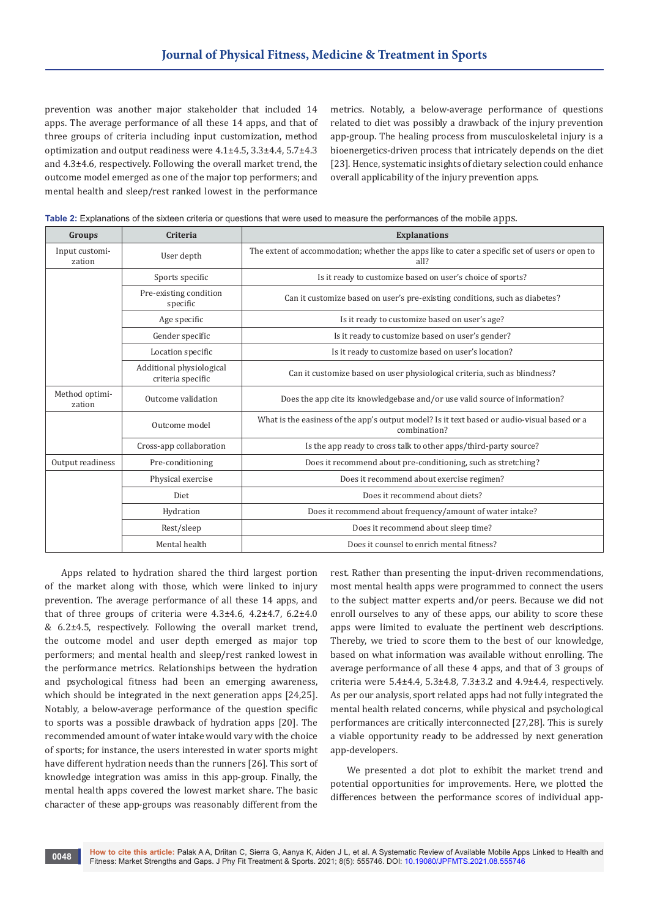prevention was another major stakeholder that included 14 apps. The average performance of all these 14 apps, and that of three groups of criteria including input customization, method optimization and output readiness were 4.1±4.5, 3.3±4.4, 5.7±4.3 and 4.3±4.6, respectively. Following the overall market trend, the outcome model emerged as one of the major top performers; and mental health and sleep/rest ranked lowest in the performance

metrics. Notably, a below-average performance of questions related to diet was possibly a drawback of the injury prevention app-group. The healing process from musculoskeletal injury is a bioenergetics-driven process that intricately depends on the diet [23]. Hence, systematic insights of dietary selection could enhance overall applicability of the injury prevention apps.

| Table 2: Explanations of the sixteen criteria or questions that were used to measure the performances of the mobile apps. |  |
|---------------------------------------------------------------------------------------------------------------------------|--|
|---------------------------------------------------------------------------------------------------------------------------|--|

| Groups                   | <b>Criteria</b>                               | <b>Explanations</b>                                                                                         |
|--------------------------|-----------------------------------------------|-------------------------------------------------------------------------------------------------------------|
| Input customi-<br>zation | User depth                                    | The extent of accommodation; whether the apps like to cater a specific set of users or open to<br>all?      |
|                          | Sports specific                               | Is it ready to customize based on user's choice of sports?                                                  |
|                          | Pre-existing condition<br>specific            | Can it customize based on user's pre-existing conditions, such as diabetes?                                 |
|                          | Age specific                                  | Is it ready to customize based on user's age?                                                               |
|                          | Gender specific                               | Is it ready to customize based on user's gender?                                                            |
|                          | Location specific                             | Is it ready to customize based on user's location?                                                          |
|                          | Additional physiological<br>criteria specific | Can it customize based on user physiological criteria, such as blindness?                                   |
| Method optimi-<br>zation | Outcome validation                            | Does the app cite its knowledgebase and/or use valid source of information?                                 |
|                          | Outcome model                                 | What is the easiness of the app's output model? Is it text based or audio-visual based or a<br>combination? |
|                          | Cross-app collaboration                       | Is the app ready to cross talk to other apps/third-party source?                                            |
| Output readiness         | Pre-conditioning                              | Does it recommend about pre-conditioning, such as stretching?                                               |
|                          | Physical exercise                             | Does it recommend about exercise regimen?                                                                   |
|                          | Diet                                          | Does it recommend about diets?                                                                              |
|                          | Hydration                                     | Does it recommend about frequency/amount of water intake?                                                   |
|                          | Rest/sleep                                    | Does it recommend about sleep time?                                                                         |
|                          | Mental health                                 | Does it counsel to enrich mental fitness?                                                                   |

Apps related to hydration shared the third largest portion of the market along with those, which were linked to injury prevention. The average performance of all these 14 apps, and that of three groups of criteria were 4.3±4.6, 4.2±4.7, 6.2±4.0 & 6.2±4.5, respectively. Following the overall market trend, the outcome model and user depth emerged as major top performers; and mental health and sleep/rest ranked lowest in the performance metrics. Relationships between the hydration and psychological fitness had been an emerging awareness, which should be integrated in the next generation apps [24,25]. Notably, a below-average performance of the question specific to sports was a possible drawback of hydration apps [20]. The recommended amount of water intake would vary with the choice of sports; for instance, the users interested in water sports might have different hydration needs than the runners [26]. This sort of knowledge integration was amiss in this app-group. Finally, the mental health apps covered the lowest market share. The basic character of these app-groups was reasonably different from the

rest. Rather than presenting the input-driven recommendations, most mental health apps were programmed to connect the users to the subject matter experts and/or peers. Because we did not enroll ourselves to any of these apps, our ability to score these apps were limited to evaluate the pertinent web descriptions. Thereby, we tried to score them to the best of our knowledge, based on what information was available without enrolling. The average performance of all these 4 apps, and that of 3 groups of criteria were  $5.4\pm4.4$ ,  $5.3\pm4.8$ ,  $7.3\pm3.2$  and  $4.9\pm4.4$ , respectively. As per our analysis, sport related apps had not fully integrated the mental health related concerns, while physical and psychological performances are critically interconnected [27,28]. This is surely a viable opportunity ready to be addressed by next generation app-developers.

We presented a dot plot to exhibit the market trend and potential opportunities for improvements. Here, we plotted the differences between the performance scores of individual app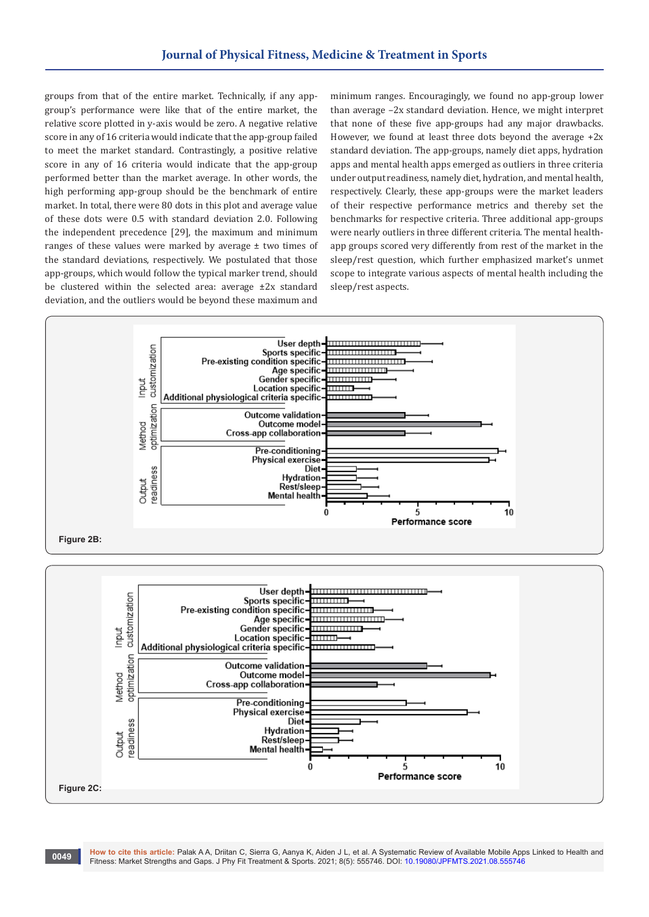groups from that of the entire market. Technically, if any appgroup's performance were like that of the entire market, the relative score plotted in y-axis would be zero. A negative relative score in any of 16 criteria would indicate that the app-group failed to meet the market standard. Contrastingly, a positive relative score in any of 16 criteria would indicate that the app-group performed better than the market average. In other words, the high performing app-group should be the benchmark of entire market. In total, there were 80 dots in this plot and average value of these dots were 0.5 with standard deviation 2.0. Following the independent precedence [29], the maximum and minimum ranges of these values were marked by average ± two times of the standard deviations, respectively. We postulated that those app-groups, which would follow the typical marker trend, should be clustered within the selected area: average ±2x standard deviation, and the outliers would be beyond these maximum and

minimum ranges. Encouragingly, we found no app-group lower than average –2x standard deviation. Hence, we might interpret that none of these five app-groups had any major drawbacks. However, we found at least three dots beyond the average +2x standard deviation. The app-groups, namely diet apps, hydration apps and mental health apps emerged as outliers in three criteria under output readiness, namely diet, hydration, and mental health, respectively. Clearly, these app-groups were the market leaders of their respective performance metrics and thereby set the benchmarks for respective criteria. Three additional app-groups were nearly outliers in three different criteria. The mental healthapp groups scored very differently from rest of the market in the sleep/rest question, which further emphasized market's unmet scope to integrate various aspects of mental health including the sleep/rest aspects.

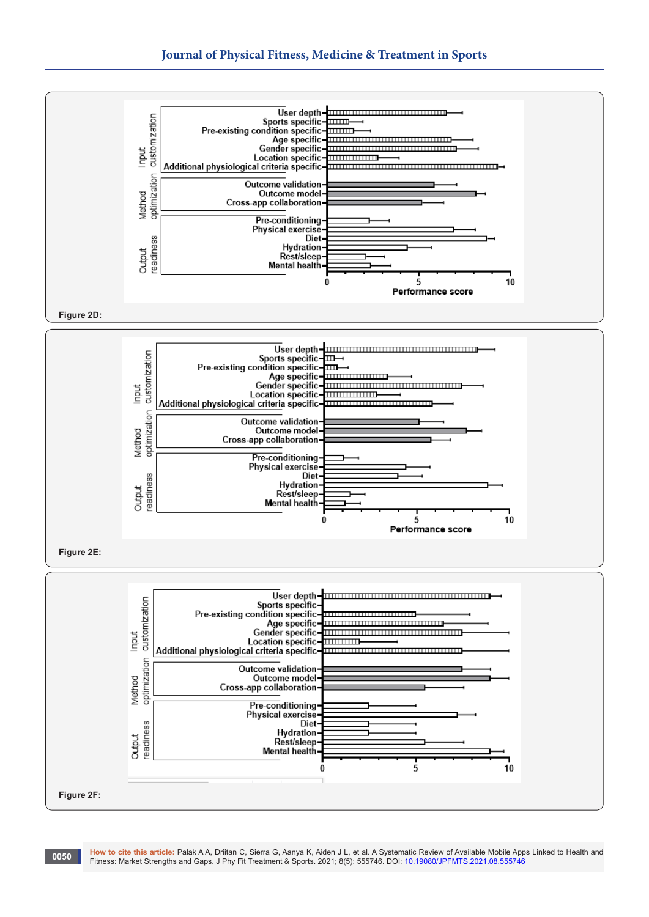



**How to cite this article:** Palak A A, Driitan C, Sierra G, Aanya K, Aiden J L, et al. A Systematic Review of Available Mobile Apps Linked to Health and Fitness: Market Strengths and Gaps. J Phy Fit Treatment & Sports. 2021; 8(5): 555746. DOI: [10.19080/JPFMTS.2021.08.5557](http://dx.doi.org/10.19080/JPFMTS.2021.08.555746)46 **<sup>0050</sup>**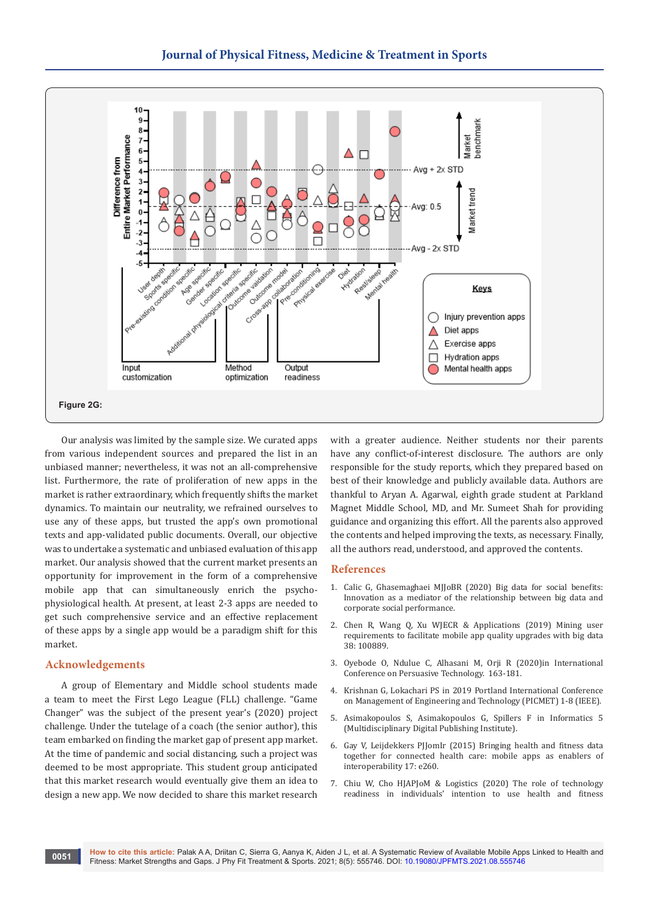

Our analysis was limited by the sample size. We curated apps from various independent sources and prepared the list in an unbiased manner; nevertheless, it was not an all-comprehensive list. Furthermore, the rate of proliferation of new apps in the market is rather extraordinary, which frequently shifts the market dynamics. To maintain our neutrality, we refrained ourselves to use any of these apps, but trusted the app's own promotional texts and app-validated public documents. Overall, our objective was to undertake a systematic and unbiased evaluation of this app market. Our analysis showed that the current market presents an opportunity for improvement in the form of a comprehensive mobile app that can simultaneously enrich the psychophysiological health. At present, at least 2-3 apps are needed to get such comprehensive service and an effective replacement of these apps by a single app would be a paradigm shift for this market.

## **Acknowledgements**

A group of Elementary and Middle school students made a team to meet the First Lego League (FLL) challenge. "Game Changer" was the subject of the present year's (2020) project challenge. Under the tutelage of a coach (the senior author), this team embarked on finding the market gap of present app market. At the time of pandemic and social distancing, such a project was deemed to be most appropriate. This student group anticipated that this market research would eventually give them an idea to design a new app. We now decided to share this market research

with a greater audience. Neither students nor their parents have any conflict-of-interest disclosure. The authors are only responsible for the study reports, which they prepared based on best of their knowledge and publicly available data. Authors are thankful to Aryan A. Agarwal, eighth grade student at Parkland Magnet Middle School, MD, and Mr. Sumeet Shah for providing guidance and organizing this effort. All the parents also approved the contents and helped improving the texts, as necessary. Finally, all the authors read, understood, and approved the contents.

## **References**

- 1. Calic G, Ghasemaghaei MJJoBR (2020) Big data for social benefits: Innovation as a mediator of the relationship between big data and corporate social performance.
- 2. [Chen R, Wang Q, Xu WJECR & Applications \(2019\) Mining user](https://www.sciencedirect.com/science/article/abs/pii/S1567422319300663)  [requirements to facilitate mobile app quality upgrades with big data](https://www.sciencedirect.com/science/article/abs/pii/S1567422319300663)  [38: 100889.](https://www.sciencedirect.com/science/article/abs/pii/S1567422319300663)
- 3. Oyebode O, Ndulue C, Alhasani M, Orji R (2020)in International Conference on Persuasive Technology. 163-181.
- 4. Krishnan G, Lokachari PS in 2019 Portland International Conference on Management of Engineering and Technology (PICMET) 1-8 (IEEE).
- 5. Asimakopoulos S, Asimakopoulos G, Spillers F in Informatics 5 (Multidisciplinary Digital Publishing Institute).
- 6. [Gay V, Leijdekkers PJJomIr \(2015\) Bringing health and fitness data](https://pubmed.ncbi.nlm.nih.gov/26581920/)  [together for connected health care: mobile apps as enablers of](https://pubmed.ncbi.nlm.nih.gov/26581920/)  [interoperability 17: e260.](https://pubmed.ncbi.nlm.nih.gov/26581920/)
- 7. [Chiu W, Cho HJAPJoM & Logistics \(2020\) The role of technology](https://onlinelibrary.wiley.com/doi/abs/10.1002/mar.20177)  [readiness in individuals' intention to use health and fitness](https://onlinelibrary.wiley.com/doi/abs/10.1002/mar.20177)